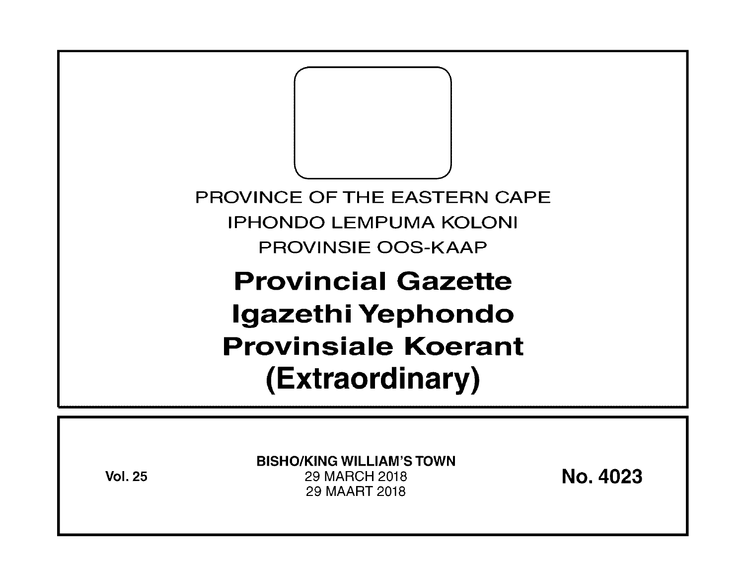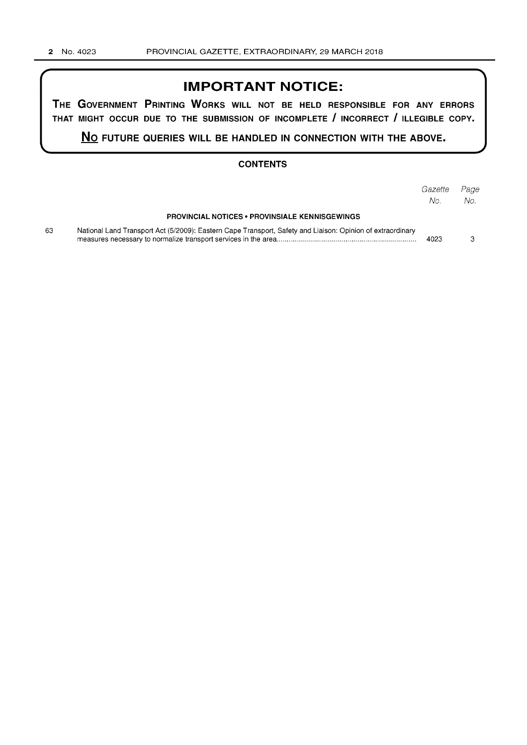## **IMPORTANT NOTICE:**

**THE GOVERNMENT PRINTING WORKS WILL NOT BE HELD RESPONSIBLE FOR ANY ERRORS THAT MIGHT OCCUR DUE TO THE SUBMISSION OF INCOMPLETE I INCORRECT I ILLEGIBLE COPY.** 

**No FUTURE QUERIES WILL BE HANDLED IN CONNECTION WITH THE ABOVE.** 

#### **CONTENTS**

|    |                                                                                                            | Gazette<br>No. | Page<br>No. |
|----|------------------------------------------------------------------------------------------------------------|----------------|-------------|
|    | <b>PROVINCIAL NOTICES • PROVINSIALE KENNISGEWINGS</b>                                                      |                |             |
| 63 | National Land Transport Act (5/2009): Eastern Cape Transport, Safety and Liaison: Opinion of extraordinary | 4023           |             |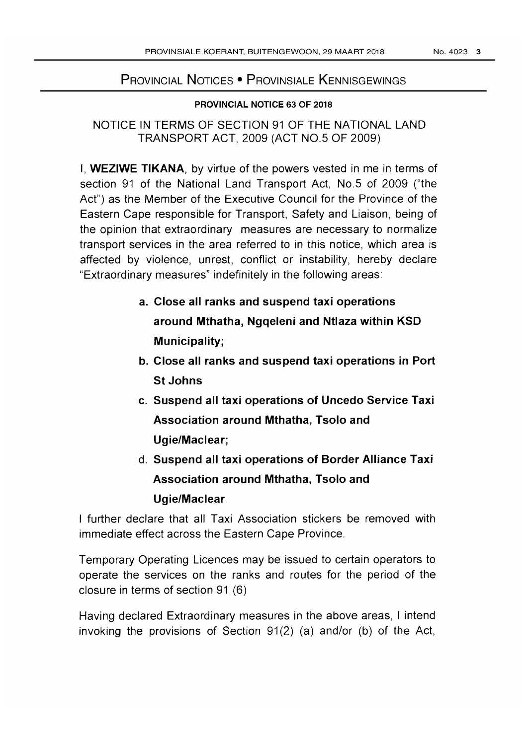# PROVINCIAL NOTICES • PROVINSIALE KENNISGEWINGS

### PROVINCIAL NOTICE 63 OF 2018

NOTICE IN TERMS OF SECTION 91 OF THE NATIONAL LAND TRANSPORT ACT, 2009 (ACT NO.5 OF 2009)

I, WEZIWE TIKANA, by virtue of the powers vested in me in terms of section 91 of the National Land Transport Act, No.5 of 2009 ("the Act") as the Member of the Executive Council for the Province of the Eastern Cape responsible for Transport, Safety and Liaison, being of the opinion that extraordinary measures are necessary to normalize transport services in the area referred to in this notice, which area is affected by violence, unrest, conflict or instability, hereby declare "Extraordinary measures" indefinitely in the following areas:

- a. Close all ranks and suspend taxi operations around Mthatha, Ngqeleni and Ntlaza within KSD Municipality;
- b. Close all ranks and suspend taxi operations in Port St Johns
- c. Suspend all taxi operations of Uncedo Service Taxi Association around Mthatha, Tsolo and Ugie/Maclear;
- d. Suspend all taxi operations of Border Alliance Taxi Association around Mthatha, Tsolo and Ugie/Maclear

I further declare that all Taxi Association stickers be removed with immediate effect across the Eastern Cape Province.

Temporary Operating Licences may be issued to certain operators to operate the services on the ranks and routes for the period of the closure in terms of section 91 (6)

Having declared Extraordinary measures in the above areas, I intend invoking the provisions of Section  $91(2)$  (a) and/or (b) of the Act,